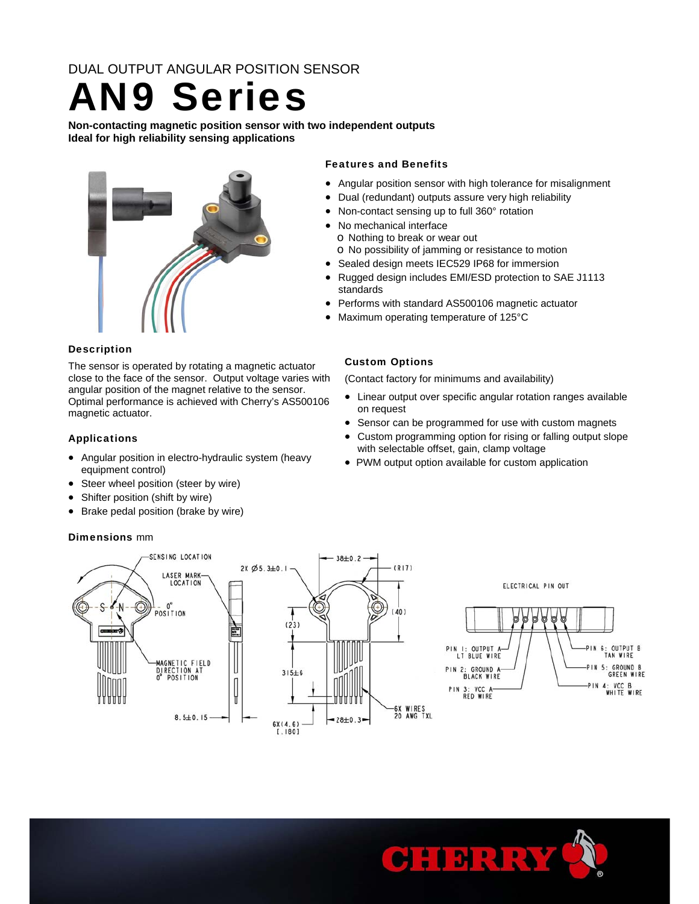DUAL OUTPUT ANGULAR POSITION SENSOR

# AN9 Series

**Non-contacting magnetic position sensor with two independent outputs Ideal for high reliability sensing applications** 



### Description

The sensor is operated by rotating a magnetic actuator close to the face of the sensor. Output voltage varies with angular position of the magnet relative to the sensor. Optimal performance is achieved with Cherry's AS500106 magnetic actuator.

### Applications

- Angular position in electro-hydraulic system (heavy equipment control)
- Steer wheel position (steer by wire)
- Shifter position (shift by wire)
- Brake pedal position (brake by wire)

### Dimensions mm

### Features and Benefits

- Angular position sensor with high tolerance for misalignment
- Dual (redundant) outputs assure very high reliability
- Non-contact sensing up to full 360° rotation
- No mechanical interface
	- o Nothing to break or wear out
	- o No possibility of jamming or resistance to motion
- Sealed design meets IEC529 IP68 for immersion
- Rugged design includes EMI/ESD protection to SAE J1113 standards
- Performs with standard AS500106 magnetic actuator
- Maximum operating temperature of 125°C

### Custom Options

(Contact factory for minimums and availability)

- Linear output over specific angular rotation ranges available on request
- Sensor can be programmed for use with custom magnets
- Custom programming option for rising or falling output slope with selectable offset, gain, clamp voltage
- PWM output option available for custom application



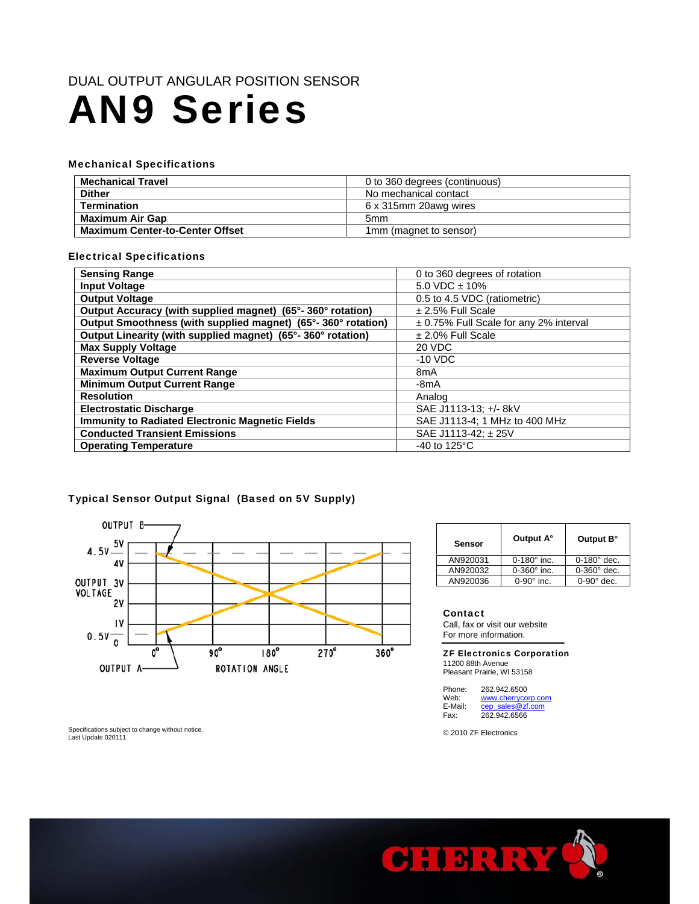### DUAL OUTPUT ANGULAR POSITION SENSOR

## AN9 Series

### Mechanical Specifications

| Mechanical Travel                      | 0 to 360 degrees (continuous) |  |
|----------------------------------------|-------------------------------|--|
| <b>Dither</b>                          | No mechanical contact         |  |
| <b>Termination</b>                     | 6 x 315mm 20awg wires         |  |
| Maximum Air Gap                        | 5mm                           |  |
| <b>Maximum Center-to-Center Offset</b> | 1mm (magnet to sensor)        |  |

### Electrical Specifications

| <b>Sensing Range</b>                                         | 0 to 360 degrees of rotation           |  |
|--------------------------------------------------------------|----------------------------------------|--|
|                                                              | $5.0$ VDC $\pm$ 10%                    |  |
| <b>Input Voltage</b>                                         |                                        |  |
| <b>Output Voltage</b>                                        | 0.5 to 4.5 VDC (ratiometric)           |  |
| Output Accuracy (with supplied magnet) (65°-360° rotation)   | $\pm$ 2.5% Full Scale                  |  |
| Output Smoothness (with supplied magnet) (65°-360° rotation) | ± 0.75% Full Scale for any 2% interval |  |
| Output Linearity (with supplied magnet) (65°-360° rotation)  | $± 2.0\%$ Full Scale                   |  |
| <b>Max Supply Voltage</b>                                    | 20 VDC                                 |  |
| <b>Reverse Voltage</b>                                       | $-10$ VDC                              |  |
| <b>Maximum Output Current Range</b>                          | 8mA                                    |  |
| <b>Minimum Output Current Range</b>                          | -8mA                                   |  |
| <b>Resolution</b>                                            | Analog                                 |  |
| <b>Electrostatic Discharge</b>                               | SAE J1113-13; +/- 8kV                  |  |
| <b>Immunity to Radiated Electronic Magnetic Fields</b>       | SAE J1113-4; 1 MHz to 400 MHz          |  |
| <b>Conducted Transient Emissions</b>                         | SAE J1113-42: ± 25V                    |  |
| <b>Operating Temperature</b>                                 | -40 to 125 $\mathrm{^{\circ}C}$        |  |

### Typical Sensor Output Signal (Based on 5V Supply)



| Sensor   | Output A°          | Output B°          |
|----------|--------------------|--------------------|
| AN920031 | $0-180^\circ$ inc. | $0-180^\circ$ dec. |
| AN920032 | $0-360^\circ$ inc. | $0-360^\circ$ dec. |
| AN920036 | $0-90^\circ$ inc.  | $0-90^\circ$ dec.  |
|          |                    |                    |

#### Contact

Г

Call, fax or visit our website For more information.

ZF Electronics Corporation 11200 88th Avenue Pleasant Prairie, WI 53158

Phone: 262.942.6500<br>Web: www.cherrycol Web: www.cherrycorp.com<br>E-Mail: cep sales@zf.com E-Mail: cep\_sales@zf.com<br>Fax: 262.942.6566 Fax: 262.942.6566

© 2010 ZF Electronics



Specifications subject to change without notice. Last Update 020111